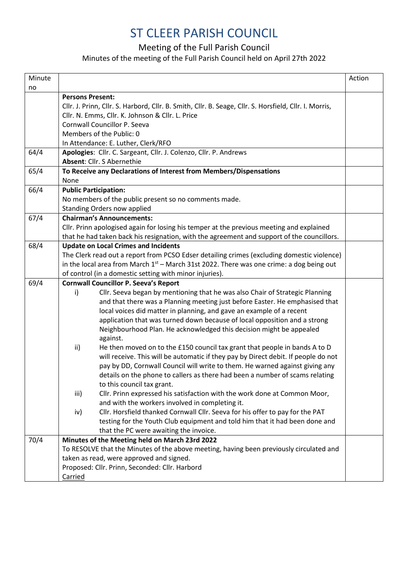## ST CLEER PARISH COUNCIL

## Meeting of the Full Parish Council

## Minutes of the meeting of the Full Parish Council held on April 27th 2022

| Minute |                                                                                                        | Action |
|--------|--------------------------------------------------------------------------------------------------------|--------|
| no     |                                                                                                        |        |
|        | <b>Persons Present:</b>                                                                                |        |
|        | Cllr. J. Prinn, Cllr. S. Harbord, Cllr. B. Smith, Cllr. B. Seage, Cllr. S. Horsfield, Cllr. I. Morris, |        |
|        | Cllr. N. Emms, Cllr. K. Johnson & Cllr. L. Price                                                       |        |
|        | Cornwall Councillor P. Seeva                                                                           |        |
|        | Members of the Public: 0                                                                               |        |
|        | In Attendance: E. Luther, Clerk/RFO                                                                    |        |
| 64/4   | Apologies: Cllr. C. Sargeant, Cllr. J. Colenzo, Cllr. P. Andrews                                       |        |
|        | Absent: Cllr. S Abernethie                                                                             |        |
| 65/4   | To Receive any Declarations of Interest from Members/Dispensations                                     |        |
|        | None                                                                                                   |        |
| 66/4   | <b>Public Participation:</b>                                                                           |        |
|        | No members of the public present so no comments made.                                                  |        |
|        | <b>Standing Orders now applied</b>                                                                     |        |
| 67/4   | <b>Chairman's Announcements:</b>                                                                       |        |
|        | Cllr. Prinn apologised again for losing his temper at the previous meeting and explained               |        |
|        | that he had taken back his resignation, with the agreement and support of the councillors.             |        |
| 68/4   | <b>Update on Local Crimes and Incidents</b>                                                            |        |
|        | The Clerk read out a report from PCSO Edser detailing crimes (excluding domestic violence)             |        |
|        | in the local area from March $1st$ – March 31st 2022. There was one crime: a dog being out             |        |
|        | of control (in a domestic setting with minor injuries).                                                |        |
| 69/4   | <b>Cornwall Councillor P. Seeva's Report</b>                                                           |        |
|        | Cllr. Seeva began by mentioning that he was also Chair of Strategic Planning<br>i)                     |        |
|        | and that there was a Planning meeting just before Easter. He emphasised that                           |        |
|        | local voices did matter in planning, and gave an example of a recent                                   |        |
|        | application that was turned down because of local opposition and a strong                              |        |
|        | Neighbourhood Plan. He acknowledged this decision might be appealed                                    |        |
|        | against.                                                                                               |        |
|        | He then moved on to the £150 council tax grant that people in bands A to D<br>ii)                      |        |
|        | will receive. This will be automatic if they pay by Direct debit. If people do not                     |        |
|        | pay by DD, Cornwall Council will write to them. He warned against giving any                           |        |
|        | details on the phone to callers as there had been a number of scams relating                           |        |
|        | to this council tax grant.                                                                             |        |
|        | Cllr. Prinn expressed his satisfaction with the work done at Common Moor,<br>iii)                      |        |
|        | and with the workers involved in completing it.                                                        |        |
|        | Cllr. Horsfield thanked Cornwall Cllr. Seeva for his offer to pay for the PAT<br>iv)                   |        |
|        | testing for the Youth Club equipment and told him that it had been done and                            |        |
|        | that the PC were awaiting the invoice.                                                                 |        |
| 70/4   | Minutes of the Meeting held on March 23rd 2022                                                         |        |
|        | To RESOLVE that the Minutes of the above meeting, having been previously circulated and                |        |
|        | taken as read, were approved and signed.                                                               |        |
|        | Proposed: Cllr. Prinn, Seconded: Cllr. Harbord                                                         |        |
|        | Carried                                                                                                |        |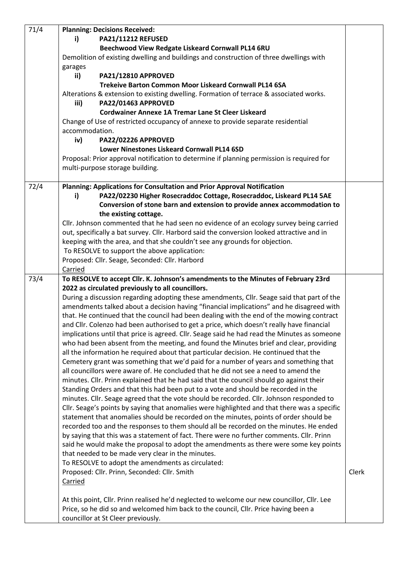| 71/4 | <b>Planning: Decisions Received:</b>                                                         |       |
|------|----------------------------------------------------------------------------------------------|-------|
|      | <b>PA21/11212 REFUSED</b><br>i)                                                              |       |
|      | Beechwood View Redgate Liskeard Cornwall PL14 6RU                                            |       |
|      | Demolition of existing dwelling and buildings and construction of three dwellings with       |       |
|      | garages                                                                                      |       |
|      | PA21/12810 APPROVED<br>ii)                                                                   |       |
|      | Trekeive Barton Common Moor Liskeard Cornwall PL14 6SA                                       |       |
|      | Alterations & extension to existing dwelling. Formation of terrace & associated works.       |       |
|      | iii)<br>PA22/01463 APPROVED                                                                  |       |
|      | <b>Cordwainer Annexe 1A Tremar Lane St Cleer Liskeard</b>                                    |       |
|      | Change of Use of restricted occupancy of annexe to provide separate residential              |       |
|      | accommodation.                                                                               |       |
|      | iv)<br>PA22/02226 APPROVED                                                                   |       |
|      | Lower Ninestones Liskeard Cornwall PL14 6SD                                                  |       |
|      | Proposal: Prior approval notification to determine if planning permission is required for    |       |
|      | multi-purpose storage building.                                                              |       |
| 72/4 | Planning: Applications for Consultation and Prior Approval Notification                      |       |
|      | PA22/02230 Higher Rosecraddoc Cottage, Rosecraddoc, Liskeard PL14 5AE<br>i)                  |       |
|      | Conversion of stone barn and extension to provide annex accommodation to                     |       |
|      | the existing cottage.                                                                        |       |
|      | Cllr. Johnson commented that he had seen no evidence of an ecology survey being carried      |       |
|      | out, specifically a bat survey. Cllr. Harbord said the conversion looked attractive and in   |       |
|      | keeping with the area, and that she couldn't see any grounds for objection.                  |       |
|      | To RESOLVE to support the above application:                                                 |       |
|      | Proposed: Cllr. Seage, Seconded: Cllr. Harbord                                               |       |
|      | Carried                                                                                      |       |
| 73/4 | To RESOLVE to accept Cllr. K. Johnson's amendments to the Minutes of February 23rd           |       |
|      | 2022 as circulated previously to all councillors.                                            |       |
|      | During a discussion regarding adopting these amendments, Cllr. Seage said that part of the   |       |
|      | amendments talked about a decision having "financial implications" and he disagreed with     |       |
|      | that. He continued that the council had been dealing with the end of the mowing contract     |       |
|      | and Cllr. Colenzo had been authorised to get a price, which doesn't really have financial    |       |
|      | implications until that price is agreed. Cllr. Seage said he had read the Minutes as someone |       |
|      | who had been absent from the meeting, and found the Minutes brief and clear, providing       |       |
|      | all the information he required about that particular decision. He continued that the        |       |
|      | Cemetery grant was something that we'd paid for a number of years and something that         |       |
|      | all councillors were aware of. He concluded that he did not see a need to amend the          |       |
|      | minutes. Cllr. Prinn explained that he had said that the council should go against their     |       |
|      | Standing Orders and that this had been put to a vote and should be recorded in the           |       |
|      | minutes. Cllr. Seage agreed that the vote should be recorded. Cllr. Johnson responded to     |       |
|      | Cllr. Seage's points by saying that anomalies were highlighted and that there was a specific |       |
|      | statement that anomalies should be recorded on the minutes, points of order should be        |       |
|      | recorded too and the responses to them should all be recorded on the minutes. He ended       |       |
|      | by saying that this was a statement of fact. There were no further comments. Cllr. Prinn     |       |
|      | said he would make the proposal to adopt the amendments as there were some key points        |       |
|      | that needed to be made very clear in the minutes.                                            |       |
|      | To RESOLVE to adopt the amendments as circulated:                                            |       |
|      | Proposed: Cllr. Prinn, Seconded: Cllr. Smith                                                 | Clerk |
|      | Carried                                                                                      |       |
|      |                                                                                              |       |
|      | At this point, Cllr. Prinn realised he'd neglected to welcome our new councillor, Cllr. Lee  |       |
|      | Price, so he did so and welcomed him back to the council, Cllr. Price having been a          |       |
|      | councillor at St Cleer previously.                                                           |       |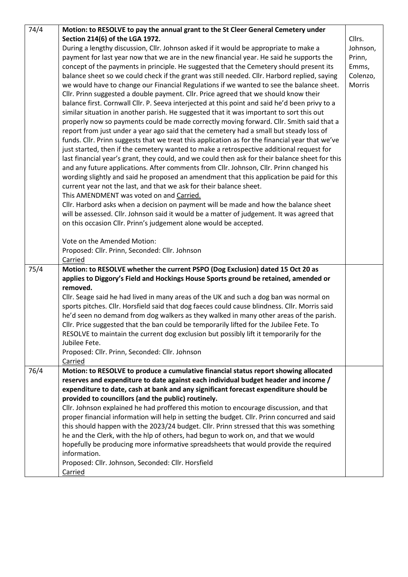| 74/4 | Motion: to RESOLVE to pay the annual grant to the St Cleer General Cemetery under               |          |
|------|-------------------------------------------------------------------------------------------------|----------|
|      | Section 214(6) of the LGA 1972.                                                                 | Cllrs.   |
|      | During a lengthy discussion, Cllr. Johnson asked if it would be appropriate to make a           | Johnson, |
|      | payment for last year now that we are in the new financial year. He said he supports the        | Prinn,   |
|      | concept of the payments in principle. He suggested that the Cemetery should present its         | Emms,    |
|      | balance sheet so we could check if the grant was still needed. Cllr. Harbord replied, saying    | Colenzo, |
|      | we would have to change our Financial Regulations if we wanted to see the balance sheet.        | Morris   |
|      | Cllr. Prinn suggested a double payment. Cllr. Price agreed that we should know their            |          |
|      | balance first. Cornwall Cllr. P. Seeva interjected at this point and said he'd been privy to a  |          |
|      | similar situation in another parish. He suggested that it was important to sort this out        |          |
|      | properly now so payments could be made correctly moving forward. Cllr. Smith said that a        |          |
|      | report from just under a year ago said that the cemetery had a small but steady loss of         |          |
|      | funds. Cllr. Prinn suggests that we treat this application as for the financial year that we've |          |
|      | just started, then if the cemetery wanted to make a retrospective additional request for        |          |
|      | last financial year's grant, they could, and we could then ask for their balance sheet for this |          |
|      | and any future applications. After comments from Cllr. Johnson, Cllr. Prinn changed his         |          |
|      | wording slightly and said he proposed an amendment that this application be paid for this       |          |
|      | current year not the last, and that we ask for their balance sheet.                             |          |
|      | This AMENDMENT was voted on and Carried.                                                        |          |
|      | Cllr. Harbord asks when a decision on payment will be made and how the balance sheet            |          |
|      | will be assessed. Cllr. Johnson said it would be a matter of judgement. It was agreed that      |          |
|      | on this occasion Cllr. Prinn's judgement alone would be accepted.                               |          |
|      | Vote on the Amended Motion:                                                                     |          |
|      | Proposed: Cllr. Prinn, Seconded: Cllr. Johnson                                                  |          |
|      | Carried                                                                                         |          |
| 75/4 | Motion: to RESOLVE whether the current PSPO (Dog Exclusion) dated 15 Oct 20 as                  |          |
|      | applies to Diggory's Field and Hockings House Sports ground be retained, amended or             |          |
|      | removed.                                                                                        |          |
|      | Cllr. Seage said he had lived in many areas of the UK and such a dog ban was normal on          |          |
|      | sports pitches. Cllr. Horsfield said that dog faeces could cause blindness. Cllr. Morris said   |          |
|      | he'd seen no demand from dog walkers as they walked in many other areas of the parish.          |          |
|      | Cllr. Price suggested that the ban could be temporarily lifted for the Jubilee Fete. To         |          |
|      | RESOLVE to maintain the current dog exclusion but possibly lift it temporarily for the          |          |
|      | Jubilee Fete.                                                                                   |          |
|      | Proposed: Cllr. Prinn, Seconded: Cllr. Johnson                                                  |          |
|      | Carried                                                                                         |          |
| 76/4 | Motion: to RESOLVE to produce a cumulative financial status report showing allocated            |          |
|      | reserves and expenditure to date against each individual budget header and income /             |          |
|      | expenditure to date, cash at bank and any significant forecast expenditure should be            |          |
|      | provided to councillors (and the public) routinely.                                             |          |
|      | Cllr. Johnson explained he had proffered this motion to encourage discussion, and that          |          |
|      | proper financial information will help in setting the budget. Cllr. Prinn concurred and said    |          |
|      | this should happen with the 2023/24 budget. Cllr. Prinn stressed that this was something        |          |
|      | he and the Clerk, with the hlp of others, had begun to work on, and that we would               |          |
|      | hopefully be producing more informative spreadsheets that would provide the required            |          |
|      | information.                                                                                    |          |
|      | Proposed: Cllr. Johnson, Seconded: Cllr. Horsfield                                              |          |
|      | Carried                                                                                         |          |